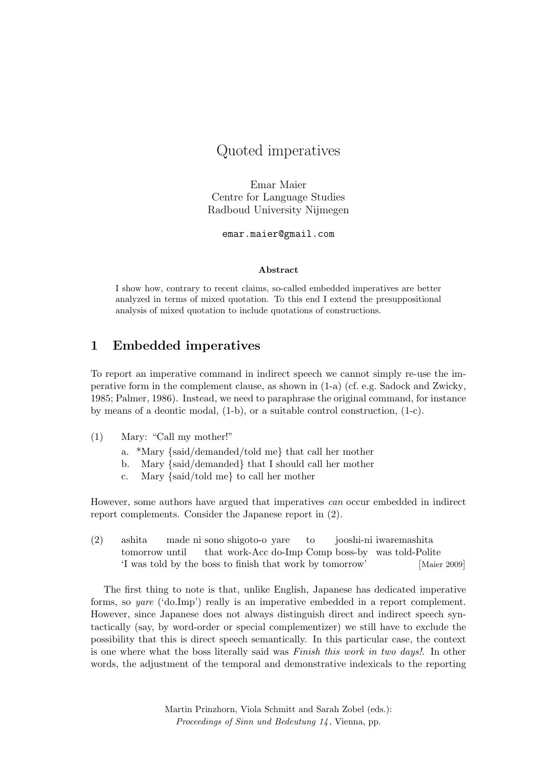# Quoted imperatives

Emar Maier Centre for Language Studies Radboud University Nijmegen

emar.maier@gmail.com

#### Abstract

I show how, contrary to recent claims, so-called embedded imperatives are better analyzed in terms of mixed quotation. To this end I extend the presuppositional analysis of mixed quotation to include quotations of constructions.

# 1 Embedded imperatives

To report an imperative command in indirect speech we cannot simply re-use the imperative form in the complement clause, as shown in (1-a) (cf. e.g. Sadock and Zwicky, 1985; Palmer, 1986). Instead, we need to paraphrase the original command, for instance by means of a deontic modal,  $(1-b)$ , or a suitable control construction,  $(1-c)$ .

- (1) Mary: "Call my mother!"
	- a. \*Mary {said/demanded/told me} that call her mother
	- b. Mary {said/demanded} that I should call her mother
	- c. Mary {said/told me} to call her mother

However, some authors have argued that imperatives can occur embedded in indirect report complements. Consider the Japanese report in (2).

(2) ashita tomorrow until made ni sono shigoto-o yare that work-Acc do-Imp Comp boss-by was told-Polite to jooshi-ni iwaremashita 'I was told by the boss to finish that work by tomorrow' ˆ  $[Maier 2009]$ 

The first thing to note is that, unlike English, Japanese has dedicated imperative forms, so yare ('do.Imp') really is an imperative embedded in a report complement. However, since Japanese does not always distinguish direct and indirect speech syntactically (say, by word-order or special complementizer) we still have to exclude the possibility that this is direct speech semantically. In this particular case, the context is one where what the boss literally said was Finish this work in two days!. In other words, the adjustment of the temporal and demonstrative indexicals to the reporting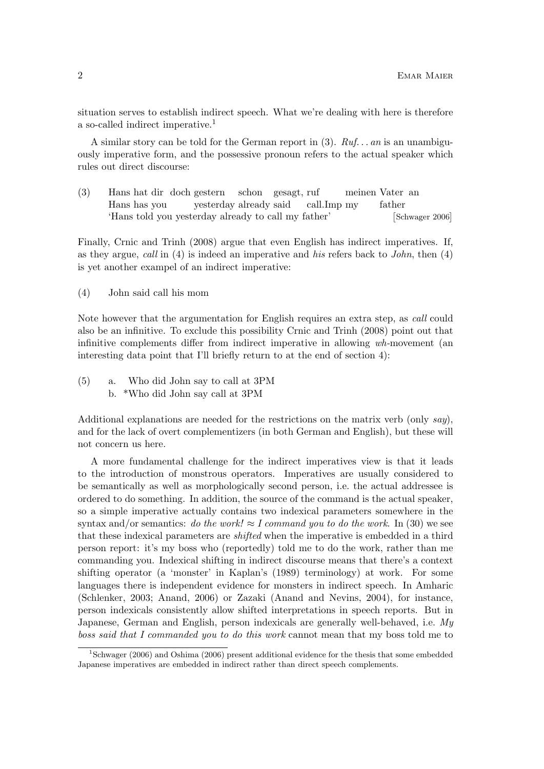situation serves to establish indirect speech. What we're dealing with here is therefore a so-called indirect imperative.<sup>1</sup>

A similar story can be told for the German report in (3).  $Ruf...$  an is an unambiguously imperative form, and the possessive pronoun refers to the actual speaker which rules out direct discourse:

(3) Hans hat dir doch gestern Hans has you yesterday already said schon gesagt, ruf call.Imp my meinen Vater an father 'Hans told you yesterday already to call my father' ˆ [Schwager 2006]

Finally, Crnic and Trinh (2008) argue that even English has indirect imperatives. If, as they argue, call in  $(4)$  is indeed an imperative and his refers back to *John*, then  $(4)$ is yet another exampel of an indirect imperative:

(4) John said call his mom

Note however that the argumentation for English requires an extra step, as call could also be an infinitive. To exclude this possibility Crnic and Trinh (2008) point out that infinitive complements differ from indirect imperative in allowing wh-movement (an interesting data point that I'll briefly return to at the end of section 4):

(5) a. Who did John say to call at 3PM b. \*Who did John say call at 3PM

Additional explanations are needed for the restrictions on the matrix verb (only  $say$ ), and for the lack of overt complementizers (in both German and English), but these will not concern us here.

A more fundamental challenge for the indirect imperatives view is that it leads to the introduction of monstrous operators. Imperatives are usually considered to be semantically as well as morphologically second person, i.e. the actual addressee is ordered to do something. In addition, the source of the command is the actual speaker, so a simple imperative actually contains two indexical parameters somewhere in the syntax and/or semantics: do the work!  $\approx I$  command you to do the work. In (30) we see that these indexical parameters are shifted when the imperative is embedded in a third person report: it's my boss who (reportedly) told me to do the work, rather than me commanding you. Indexical shifting in indirect discourse means that there's a context shifting operator (a 'monster' in Kaplan's (1989) terminology) at work. For some languages there is independent evidence for monsters in indirect speech. In Amharic (Schlenker, 2003; Anand, 2006) or Zazaki (Anand and Nevins, 2004), for instance, person indexicals consistently allow shifted interpretations in speech reports. But in Japanese, German and English, person indexicals are generally well-behaved, i.e. My boss said that I commanded you to do this work cannot mean that my boss told me to

<sup>1</sup>Schwager (2006) and Oshima (2006) present additional evidence for the thesis that some embedded Japanese imperatives are embedded in indirect rather than direct speech complements.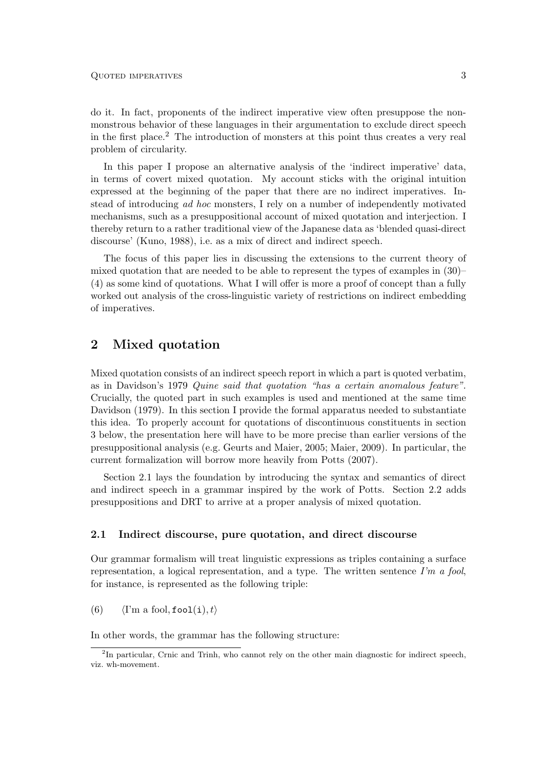do it. In fact, proponents of the indirect imperative view often presuppose the nonmonstrous behavior of these languages in their argumentation to exclude direct speech in the first place.<sup>2</sup> The introduction of monsters at this point thus creates a very real problem of circularity.

In this paper I propose an alternative analysis of the 'indirect imperative' data, in terms of covert mixed quotation. My account sticks with the original intuition expressed at the beginning of the paper that there are no indirect imperatives. Instead of introducing ad hoc monsters, I rely on a number of independently motivated mechanisms, such as a presuppositional account of mixed quotation and interjection. I thereby return to a rather traditional view of the Japanese data as 'blended quasi-direct discourse' (Kuno, 1988), i.e. as a mix of direct and indirect speech.

The focus of this paper lies in discussing the extensions to the current theory of mixed quotation that are needed to be able to represent the types of examples in (30)– (4) as some kind of quotations. What I will offer is more a proof of concept than a fully worked out analysis of the cross-linguistic variety of restrictions on indirect embedding of imperatives.

## 2 Mixed quotation

Mixed quotation consists of an indirect speech report in which a part is quoted verbatim, as in Davidson's 1979 Quine said that quotation "has a certain anomalous feature". Crucially, the quoted part in such examples is used and mentioned at the same time Davidson (1979). In this section I provide the formal apparatus needed to substantiate this idea. To properly account for quotations of discontinuous constituents in section 3 below, the presentation here will have to be more precise than earlier versions of the presuppositional analysis (e.g. Geurts and Maier, 2005; Maier, 2009). In particular, the current formalization will borrow more heavily from Potts (2007).

Section 2.1 lays the foundation by introducing the syntax and semantics of direct and indirect speech in a grammar inspired by the work of Potts. Section 2.2 adds presuppositions and DRT to arrive at a proper analysis of mixed quotation.

#### 2.1 Indirect discourse, pure quotation, and direct discourse

Our grammar formalism will treat linguistic expressions as triples containing a surface representation, a logical representation, and a type. The written sentence  $\Gamma'$ m a fool, for instance, is represented as the following triple:

(6)  $\langle$  I'm a fool, fool(i), t $\rangle$ 

In other words, the grammar has the following structure:

<sup>&</sup>lt;sup>2</sup>In particular, Crnic and Trinh, who cannot rely on the other main diagnostic for indirect speech, viz. wh-movement.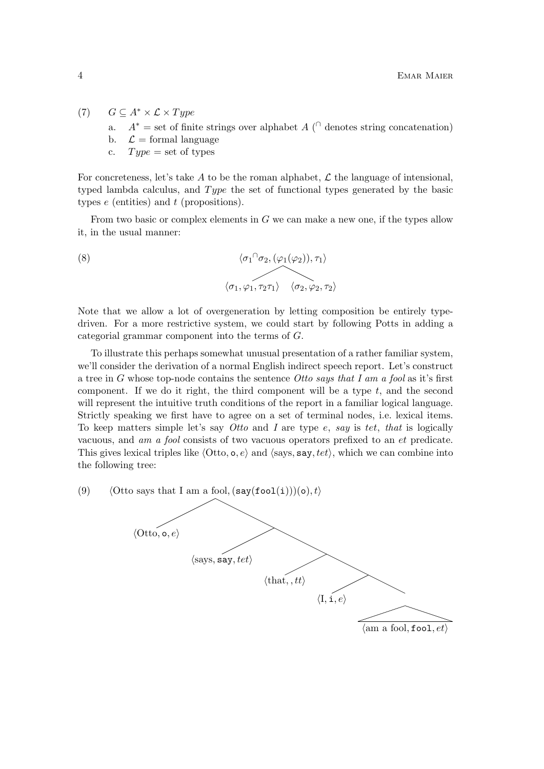(7)  $G \subseteq A^* \times \mathcal{L} \times Type$ 

- a.  $A^* =$  set of finite strings over alphabet  $A \cap$  denotes string concatenation)
- b.  $\mathcal{L} =$  formal language
- c.  $Type = set of types$

For concreteness, let's take  $A$  to be the roman alphabet,  $\mathcal L$  the language of intensional, typed lambda calculus, and  $Type$  the set of functional types generated by the basic types  $e$  (entities) and  $t$  (propositions).

From two basic or complex elements in G we can make a new one, if the types allow it, in the usual manner:

(8) 
$$
\langle \sigma_1 \cap \sigma_2, (\varphi_1(\varphi_2)), \tau_1 \rangle
$$
  
 $\langle \sigma_1, \varphi_1, \tau_2 \tau_1 \rangle \quad \langle \sigma_2, \varphi_2, \tau_2 \rangle$ 

Note that we allow a lot of overgeneration by letting composition be entirely typedriven. For a more restrictive system, we could start by following Potts in adding a categorial grammar component into the terms of G.

To illustrate this perhaps somewhat unusual presentation of a rather familiar system, we'll consider the derivation of a normal English indirect speech report. Let's construct a tree in  $G$  whose top-node contains the sentence Otto says that I am a fool as it's first component. If we do it right, the third component will be a type  $t$ , and the second will represent the intuitive truth conditions of the report in a familiar logical language. Strictly speaking we first have to agree on a set of terminal nodes, i.e. lexical items. To keep matters simple let's say Otto and I are type  $e$ , say is tet, that is logically vacuous, and am a fool consists of two vacuous operators prefixed to an et predicate. This gives lexical triples like  $\langle$ Otto, o, e $\rangle$  and  $\langle$ says, say, tet $\rangle$ , which we can combine into the following tree:

(9) (Otto says that I am a fool,  $(say(fool(i)))(o), t$ )

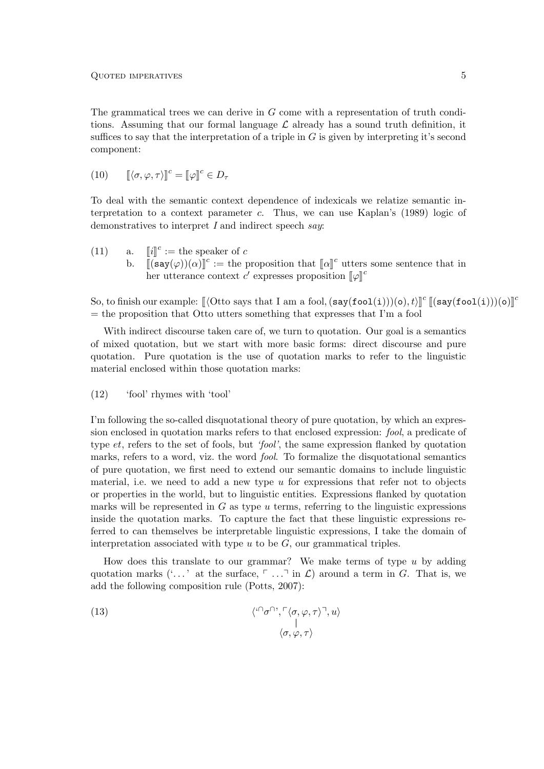The grammatical trees we can derive in  $G$  come with a representation of truth conditions. Assuming that our formal language  $\mathcal L$  already has a sound truth definition, it suffices to say that the interpretation of a triple in  $G$  is given by interpreting it's second component:

(10)  $\llbracket \langle \sigma, \varphi, \tau \rangle \rrbracket^c = \llbracket \varphi \rrbracket^c \in D_\tau$ 

To deal with the semantic context dependence of indexicals we relatize semantic interpretation to a context parameter c. Thus, we can use Kaplan's (1989) logic of demonstratives to interpret I and indirect speech say:

(11) a. b.  $c :=$  the speaker of  $c$ b.  $\left[\left(\mathsf{say}(\varphi)\right)(\alpha)\right]^c :=$  the proposition that  $\left[\alpha\right]^c$  utters some sentence that in her utterance context  $c'$  expresses proposition  $[\![\varphi]\!]^c$ 

So, to finish our example:  $[\langle \text{ Otto says that I am a fool},(\text{say}(\text{fool}(i)))(o), t \rangle]^c [\langle \text{say}(\text{fool}(i)))(o) \rangle]$ <sup>c</sup>  $=$  the proposition that Otto utters something that expresses that I'm a fool

With indirect discourse taken care of, we turn to quotation. Our goal is a semantics of mixed quotation, but we start with more basic forms: direct discourse and pure quotation. Pure quotation is the use of quotation marks to refer to the linguistic material enclosed within those quotation marks:

(12) 'fool' rhymes with 'tool'

I'm following the so-called disquotational theory of pure quotation, by which an expression enclosed in quotation marks refers to that enclosed expression: fool, a predicate of type et, refers to the set of fools, but 'fool', the same expression flanked by quotation marks, refers to a word, viz. the word *fool*. To formalize the disquotational semantics of pure quotation, we first need to extend our semantic domains to include linguistic material, i.e. we need to add a new type  $u$  for expressions that refer not to objects or properties in the world, but to linguistic entities. Expressions flanked by quotation marks will be represented in  $G$  as type  $u$  terms, referring to the linguistic expressions inside the quotation marks. To capture the fact that these linguistic expressions referred to can themselves be interpretable linguistic expressions, I take the domain of interpretation associated with type  $u$  to be  $G$ , our grammatical triples.

How does this translate to our grammar? We make terms of type  $u$  by adding quotation marks  $(\cdot \dots)$  at the surface,  $\ulcorner \dots \urcorner$  in  $\mathcal{L}$ ) around a term in G. That is, we add the following composition rule (Potts, 2007):

(13) 
$$
\langle \langle \bigcirc \sigma \bigcirc \cdot, \bigcirc \langle \sigma, \varphi, \tau \rangle \bigcirc \cdot, u \rangle
$$

$$
\langle \sigma, \varphi, \tau \rangle
$$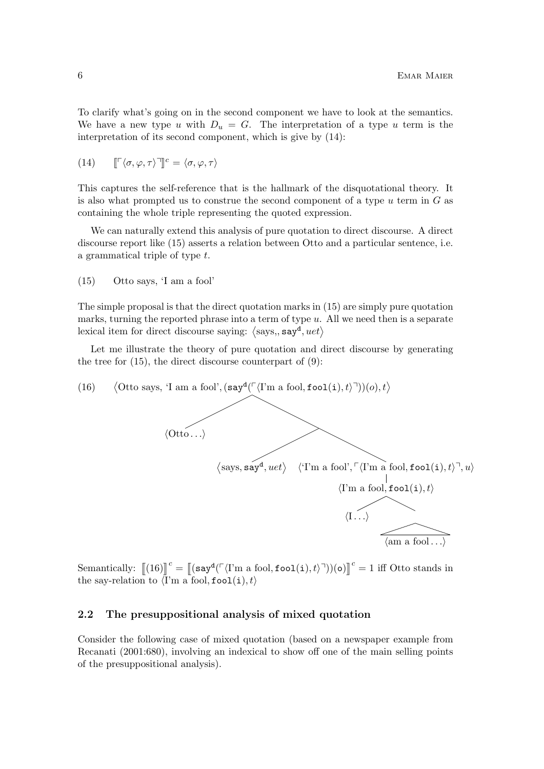To clarify what's going on in the second component we have to look at the semantics. We have a new type u with  $D_u = G$ . The interpretation of a type u term is the interpretation of its second component, which is give by (14):

(14) 
$$
[\![\ulcorner \langle \sigma, \varphi, \tau \rangle \urcorner]\!]^c = \langle \sigma, \varphi, \tau \rangle
$$

This captures the self-reference that is the hallmark of the disquotational theory. It is also what prompted us to construe the second component of a type  $u$  term in  $G$  as containing the whole triple representing the quoted expression.

We can naturally extend this analysis of pure quotation to direct discourse. A direct discourse report like (15) asserts a relation between Otto and a particular sentence, i.e. a grammatical triple of type t.

(15) Otto says, 'I am a fool'

The simple proposal is that the direct quotation marks in (15) are simply pure quotation marks, turning the reported phrase into a term of type  $u$ . All we need then is a separate lexical item for direct discourse saying:  $\langle$ says,, say<sup>d</sup>, uet $\rangle$ 

Let me illustrate the theory of pure quotation and direct discourse by generating the tree for  $(15)$ , the direct discourse counterpart of  $(9)$ :



Semantically:  $\left[ (16) \right]^c = \left[ (\text{say}^d(\ulcorner \langle \text{I'm a fool}, \text{fool}(i), t \rangle \urcorner))(\text{o}) \right]^c = 1$  iff Otto stands in the say-relation to  $\langle \mathbf{I}'\mathbf{m} \text{ a fool}, \texttt{fool}(i), t \rangle$ 

#### 2.2 The presuppositional analysis of mixed quotation

Consider the following case of mixed quotation (based on a newspaper example from Recanati (2001:680), involving an indexical to show off one of the main selling points of the presuppositional analysis).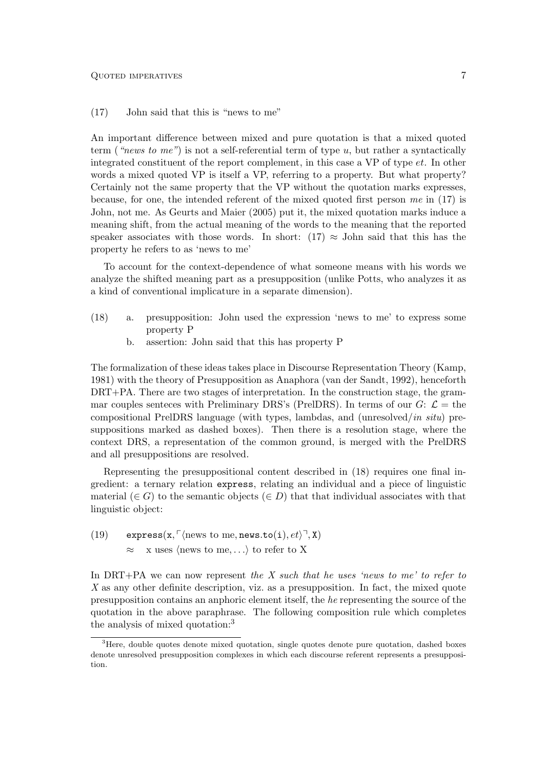(17) John said that this is "news to me"

An important difference between mixed and pure quotation is that a mixed quoted term ("news to me") is not a self-referential term of type  $u$ , but rather a syntactically integrated constituent of the report complement, in this case a VP of type et. In other words a mixed quoted VP is itself a VP, referring to a property. But what property? Certainly not the same property that the VP without the quotation marks expresses, because, for one, the intended referent of the mixed quoted first person me in (17) is John, not me. As Geurts and Maier (2005) put it, the mixed quotation marks induce a meaning shift, from the actual meaning of the words to the meaning that the reported speaker associates with those words. In short: (17)  $\approx$  John said that this has the property he refers to as 'news to me'

To account for the context-dependence of what someone means with his words we analyze the shifted meaning part as a presupposition (unlike Potts, who analyzes it as a kind of conventional implicature in a separate dimension).

- (18) a. presupposition: John used the expression 'news to me' to express some property P
	- b. assertion: John said that this has property P

The formalization of these ideas takes place in Discourse Representation Theory (Kamp, 1981) with the theory of Presupposition as Anaphora (van der Sandt, 1992), henceforth DRT+PA. There are two stages of interpretation. In the construction stage, the grammar couples senteces with Preliminary DRS's (PrelDRS). In terms of our  $G: \mathcal{L} =$  the compositional PrelDRS language (with types, lambdas, and (unresolved/in situ) presuppositions marked as dashed boxes). Then there is a resolution stage, where the context DRS, a representation of the common ground, is merged with the PrelDRS and all presuppositions are resolved.

Representing the presuppositional content described in (18) requires one final ingredient: a ternary relation express, relating an individual and a piece of linguistic material  $(\in G)$  to the semantic objects  $(\in D)$  that that individual associates with that linguistic object:

(19) express(x,  $\lceil \langle \text{news to me, news.to}(i), et \rangle \rceil$ , X)  $\approx$  x uses  $\langle$  news to me, ...  $\rangle$  to refer to X

In DRT+PA we can now represent the X such that he uses 'news to me' to refer to X as any other definite description, viz. as a presupposition. In fact, the mixed quote presupposition contains an anphoric element itself, the he representing the source of the quotation in the above paraphrase. The following composition rule which completes the analysis of mixed quotation:<sup>3</sup>

<sup>&</sup>lt;sup>3</sup>Here, double quotes denote mixed quotation, single quotes denote pure quotation, dashed boxes denote unresolved presupposition complexes in which each discourse referent represents a presupposition.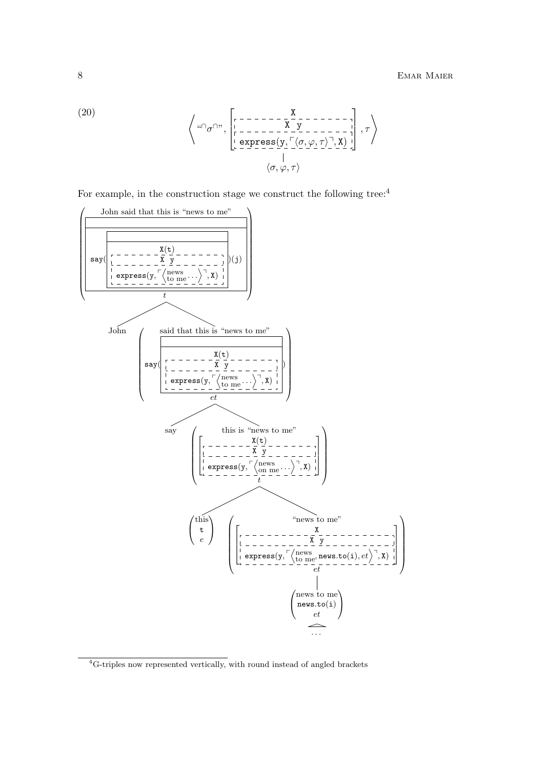(20)  

$$
\left\langle \begin{array}{c} \n\alpha \cap \sigma \cap \dots \bigg\{ \begin{bmatrix} \n\sigma \cap \dots \sigma \end{bmatrix} \begin{bmatrix} \n\alpha \end{bmatrix} \right\} \n\begin{bmatrix} \n\alpha \end{bmatrix} \n\begin{bmatrix} \n\alpha \end{bmatrix} \n\begin{bmatrix} \n\alpha \end{bmatrix} \n\begin{bmatrix} \n\alpha \end{bmatrix} \n\begin{bmatrix} \n\alpha \end{bmatrix} \n\begin{bmatrix} \n\alpha \end{bmatrix} \n\begin{bmatrix} \n\alpha \end{bmatrix} \n\begin{bmatrix} \n\alpha \end{bmatrix} \n\begin{bmatrix} \n\alpha \end{bmatrix} \n\begin{bmatrix} \n\alpha \end{bmatrix} \n\begin{bmatrix} \n\alpha \end{bmatrix} \n\begin{bmatrix} \n\alpha \end{bmatrix} \n\begin{bmatrix} \n\alpha \end{bmatrix} \n\begin{bmatrix} \n\alpha \end{bmatrix} \n\begin{bmatrix} \n\alpha \end{bmatrix} \n\end{bmatrix} \n\end{array} \right}, \tau \right\rangle
$$

For example, in the construction stage we construct the following tree:  $4$ 



<sup>&</sup>lt;sup>4</sup>G-triples now represented vertically, with round instead of angled brackets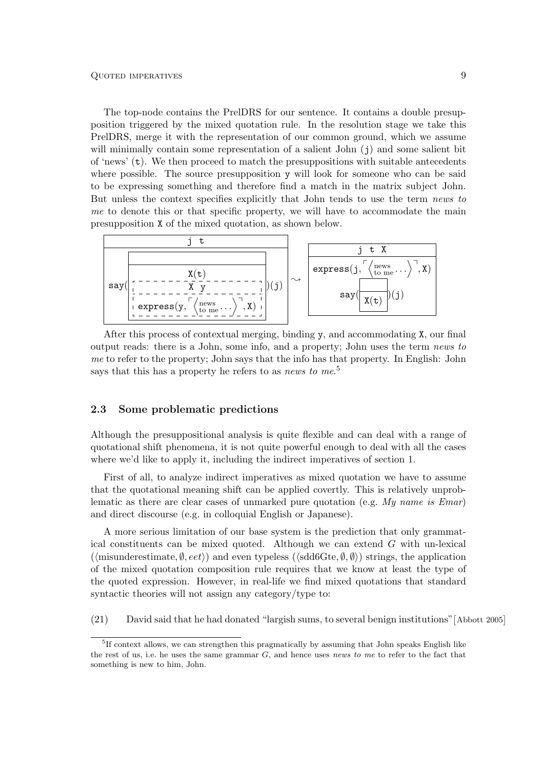The top-node contains the PrelDRS for our sentence. It contains a double presupposition triggered by the mixed quotation rule. In the resolution stage we take this PrelDRS, merge it with the representation of our common ground, which we assume will minimally contain some representation of a salient John  $(j)$  and some salient bit of 'news' (t). We then proceed to match the presuppositions with suitable antecedents where possible. The source presupposition y will look for someone who can be said to be expressing something and therefore find a match in the matrix subject John. But unless the context specifies explicitly that John tends to use the term news to me to denote this or that specific property, we will have to accommodate the main presupposition X of the mixed quotation, as shown below.



After this process of contextual merging, binding y, and accommodating X, our final output reads: there is a John, some info, and a property; John uses the term news to me to refer to the property; John says that the info has that property. In English: John says that this has a property he refers to as *news to me.*<sup>5</sup>

#### 2.3 Some problematic predictions

Although the presuppositional analysis is quite flexible and can deal with a range of quotational shift phenomena, it is not quite powerful enough to deal with all the cases where we'd like to apply it, including the indirect imperatives of section 1.

First of all, to analyze indirect imperatives as mixed quotation we have to assume that the quotational meaning shift can be applied covertly. This is relatively unproblematic as there are clear cases of unmarked pure quotation (e.g. My name is Emar) and direct discourse (e.g. in colloquial English or Japanese).

A more serious limitation of our base system is the prediction that only grammatical constituents can be mixed quoted. Although we can extend  $G$  with un-lexical  $(\langle$ misunderestimate,  $\emptyset$ ,  $eet \rangle$  and even typeless  $(\langle$ sdd6Gte,  $\emptyset$ , $\emptyset \rangle$ ) strings, the application of the mixed quotation composition rule requires that we know at least the type of the quoted expression. However, in real-life we find mixed quotations that standard syntactic theories will not assign any category/type to:

(21) David said that he had donated "largish sums, to several benign institutions" [Abbott 2005]

<sup>&</sup>lt;sup>5</sup>If context allows, we can strengthen this pragmatically by assuming that John speaks English like the rest of us, i.e. he uses the same grammar  $G$ , and hence uses news to me to refer to the fact that something is new to him, John.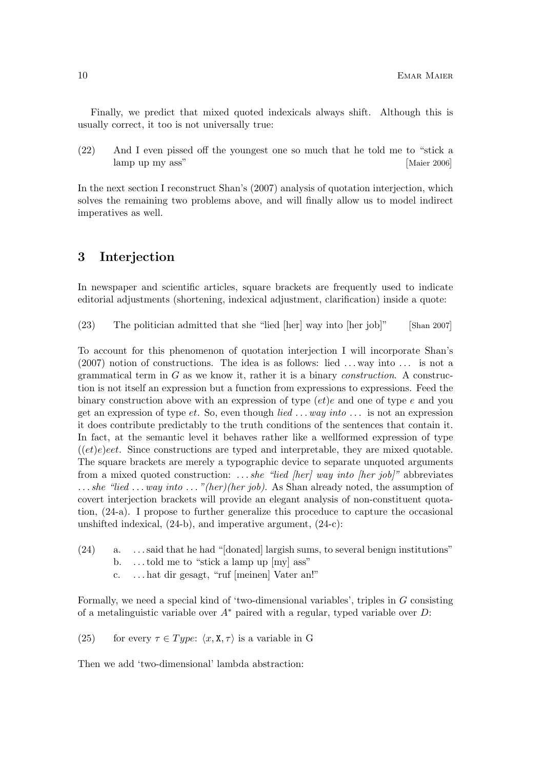Finally, we predict that mixed quoted indexicals always shift. Although this is usually correct, it too is not universally true:

(22) And I even pissed off the youngest one so much that he told me to "stick a lamp up my ass"  $\lceil$ Maier 2006 $\rceil$ 

In the next section I reconstruct Shan's (2007) analysis of quotation interjection, which solves the remaining two problems above, and will finally allow us to model indirect imperatives as well.

### 3 Interjection

In newspaper and scientific articles, square brackets are frequently used to indicate editorial adjustments (shortening, indexical adjustment, clarification) inside a quote:

 $(23)$  The politician admitted that she "lied [her] way into [her job]"  $[Shan 2007]$ 

To account for this phenomenon of quotation interjection I will incorporate Shan's  $(2007)$  notion of constructions. The idea is as follows: lied ... way into ... is not a grammatical term in  $G$  as we know it, rather it is a binary *construction*. A construction is not itself an expression but a function from expressions to expressions. Feed the binary construction above with an expression of type  $(et)e$  and one of type e and you get an expression of type et. So, even though *lied ...* way into ... is not an expression it does contribute predictably to the truth conditions of the sentences that contain it. In fact, at the semantic level it behaves rather like a wellformed expression of type  $((et)e)$ eet. Since constructions are typed and interpretable, they are mixed quotable. The square brackets are merely a typographic device to separate unquoted arguments from a mixed quoted construction: ... she "lied [her] way into [her job]" abbreviates  $\ldots$  she "lied  $\ldots$  way into  $\ldots$  "(her)(her job). As Shan already noted, the assumption of covert interjection brackets will provide an elegant analysis of non-constituent quotation, (24-a). I propose to further generalize this proceduce to capture the occasional unshifted indexical, (24-b), and imperative argument, (24-c):

- (24) a. . . . said that he had "[donated] largish sums, to several benign institutions"
	- b. . . . told me to "stick a lamp up [my] ass"
	- c. . . . hat dir gesagt, "ruf [meinen] Vater an!"

Formally, we need a special kind of 'two-dimensional variables', triples in G consisting of a metalinguistic variable over  $A^*$  paired with a regular, typed variable over D:

(25) for every  $\tau \in Type: \langle x, \mathbf{X}, \tau \rangle$  is a variable in G

Then we add 'two-dimensional' lambda abstraction: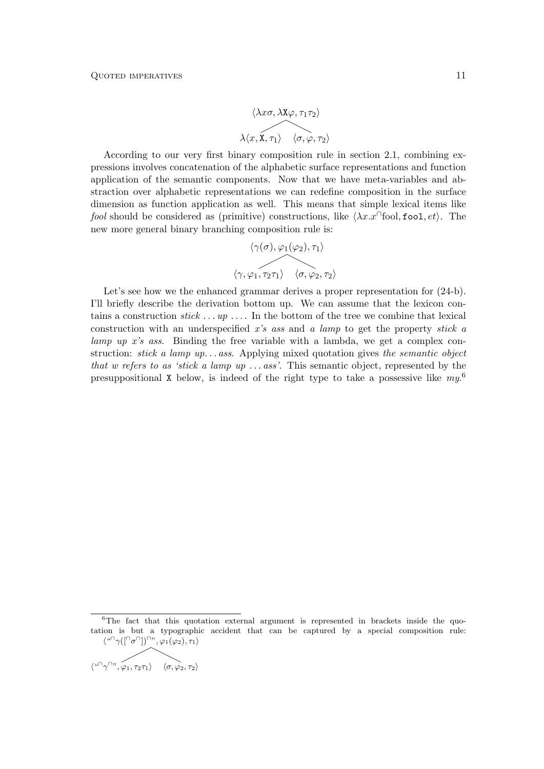$$
\langle \lambda x\sigma, \lambda \mathbf{X} \varphi, \tau_1 \tau_2 \rangle
$$

$$
\lambda \langle x, \mathbf{X}, \tau_1 \rangle \quad \langle \sigma, \varphi, \tau_2 \rangle
$$

According to our very first binary composition rule in section 2.1, combining expressions involves concatenation of the alphabetic surface representations and function application of the semantic components. Now that we have meta-variables and abstraction over alphabetic representations we can redefine composition in the surface dimension as function application as well. This means that simple lexical items like fool should be considered as (primitive) constructions, like  $\langle \lambda x. x \rangle$  fool, fool,  $et$ . The new more general binary branching composition rule is:

$$
\langle \gamma(\sigma), \varphi_1(\varphi_2), \tau_1 \rangle
$$
  

$$
\langle \gamma, \varphi_1, \tau_2 \tau_1 \rangle \quad \langle \sigma, \varphi_2, \tau_2 \rangle
$$

Let's see how we the enhanced grammar derives a proper representation for  $(24-b)$ . I'll briefly describe the derivation bottom up. We can assume that the lexicon contains a construction  $stick \dots up \dots$ . In the bottom of the tree we combine that lexical construction with an underspecified x's ass and a lamp to get the property stick a lamp up x's ass. Binding the free variable with a lambda, we get a complex construction: *stick a lamp up... ass.* Applying mixed quotation gives the semantic object that w refers to as 'stick a lamp up  $\ldots$  ass'. This semantic object, represented by the presuppositional X below, is indeed of the right type to take a possessive like  $my^6$ 

$$
\langle \text{``} \cap \gamma \cap \text{''}, \varphi_1, \tau_2 \tau_1 \rangle \quad \langle \sigma, \varphi_2, \tau_2 \rangle
$$

 $6$ The fact that this quotation external argument is represented in brackets inside the quotation is but a typographic accident that can be captured by a special composition rule:  $\langle \text{``}\cap \gamma([\cap \sigma \cap]) \cap \text{''}, \varphi_1(\varphi_2), \tau_1 \rangle$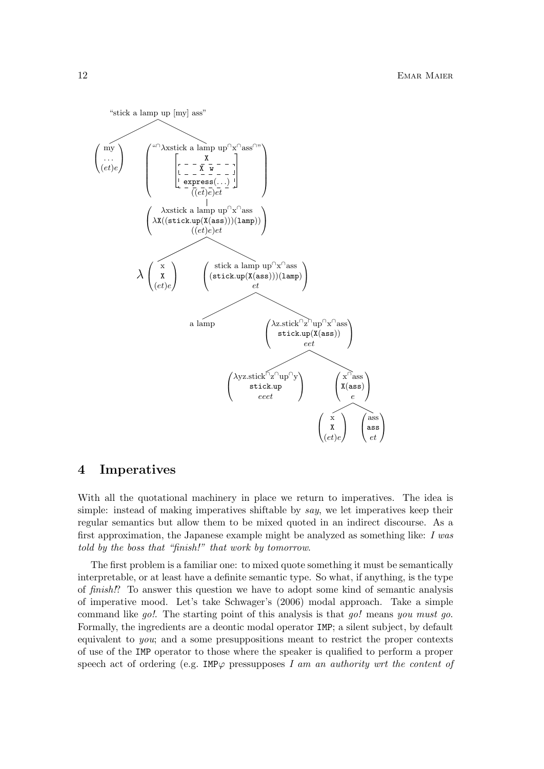

### 4 Imperatives

With all the quotational machinery in place we return to imperatives. The idea is simple: instead of making imperatives shiftable by say, we let imperatives keep their regular semantics but allow them to be mixed quoted in an indirect discourse. As a first approximation, the Japanese example might be analyzed as something like: I was told by the boss that "finish!" that work by tomorrow.

The first problem is a familiar one: to mixed quote something it must be semantically interpretable, or at least have a definite semantic type. So what, if anything, is the type of finish!? To answer this question we have to adopt some kind of semantic analysis of imperative mood. Let's take Schwager's (2006) modal approach. Take a simple command like go!. The starting point of this analysis is that go! means you must go. Formally, the ingredients are a deontic modal operator IMP; a silent subject, by default equivalent to you; and a some presuppositions meant to restrict the proper contexts of use of the IMP operator to those where the speaker is qualified to perform a proper speech act of ordering (e.g. IMP $\varphi$  pressupposes I am an authority wrt the content of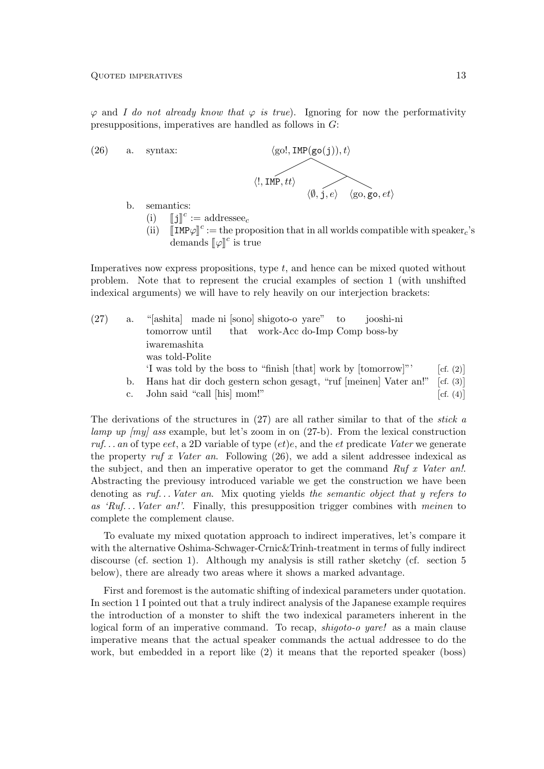$\varphi$  and I do not already know that  $\varphi$  is true). Ignoring for now the performativity presuppositions, imperatives are handled as follows in G:



- b. semantics:
	- $\begin{bmatrix} 1 \end{bmatrix}$   $\begin{bmatrix} 1 \end{bmatrix}$   $\begin{bmatrix} 1 \end{bmatrix}$  $c := \text{addressee}_c$
	- (ii)  $\begin{bmatrix} \text{IMP}\varphi \end{bmatrix}^c :=$  the proposition that in all worlds compatible with speaker<sub>c</sub>'s domands  $\begin{bmatrix} \mathbb{I} \alpha \mathbb{I}^c \end{bmatrix}$  is two. demands  $\llbracket \varphi \rrbracket^c$  is true

Imperatives now express propositions, type  $t$ , and hence can be mixed quoted without problem. Note that to represent the crucial examples of section 1 (with unshifted indexical arguments) we will have to rely heavily on our interjection brackets:

| (27) | a.          | "[ashita] made ni [sono] shigoto-o yare" to<br>jooshi-ni         |                         |
|------|-------------|------------------------------------------------------------------|-------------------------|
|      |             | that work-Acc do-Imp Comp boss-by<br>tomorrow until              |                         |
|      |             | iwaremashita                                                     |                         |
|      |             | was told-Polite                                                  |                         |
|      |             | 'I was told by the boss to "finish [that] work by [tomorrow]"    | $\lceil cf. (2) \rceil$ |
|      | b.          | Hans hat dir doch gestern schon gesagt, "ruf [meinen] Vater an!" | [cf. (3)]               |
|      | $c_{\cdot}$ | John said "call [his] mom!"                                      | $\lceil cf. (4) \rceil$ |

c. John said "call [his] mom!"

The derivations of the structures in  $(27)$  are all rather similar to that of the *stick a* lamp up  $[my]$  ass example, but let's zoom in on  $(27-b)$ . From the lexical construction ruf... an of type eet, a 2D variable of type  $(et)e$ , and the et predicate Vater we generate the property ruf x Vater an. Following  $(26)$ , we add a silent addressee indexical as the subject, and then an imperative operator to get the command  $Rufx$  Vater an!. Abstracting the previousy introduced variable we get the construction we have been denoting as  $ruf.$ .. Vater an. Mix quoting yields the semantic object that y refers to as 'Ruf... Vater an!'. Finally, this presupposition trigger combines with meinen to complete the complement clause.

To evaluate my mixed quotation approach to indirect imperatives, let's compare it with the alternative Oshima-Schwager-Crnic&Trinh-treatment in terms of fully indirect discourse (cf. section 1). Although my analysis is still rather sketchy (cf. section 5 below), there are already two areas where it shows a marked advantage.

First and foremost is the automatic shifting of indexical parameters under quotation. In section 1 I pointed out that a truly indirect analysis of the Japanese example requires the introduction of a monster to shift the two indexical parameters inherent in the logical form of an imperative command. To recap, *shigoto-o yare!* as a main clause imperative means that the actual speaker commands the actual addressee to do the work, but embedded in a report like (2) it means that the reported speaker (boss)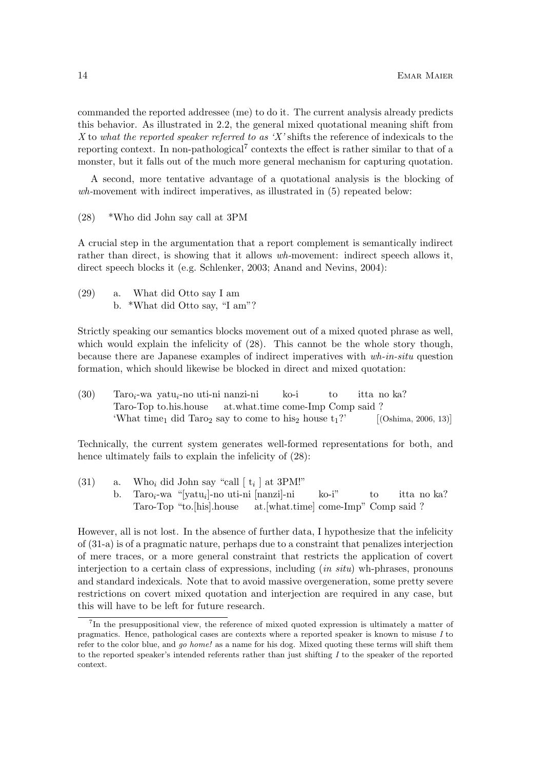commanded the reported addressee (me) to do it. The current analysis already predicts this behavior. As illustrated in 2.2, the general mixed quotational meaning shift from X to what the reported speaker referred to as 'X' shifts the reference of indexicals to the reporting context. In non-pathological<sup>7</sup> contexts the effect is rather similar to that of a monster, but it falls out of the much more general mechanism for capturing quotation.

A second, more tentative advantage of a quotational analysis is the blocking of  $wh$ -movement with indirect imperatives, as illustrated in  $(5)$  repeated below:

(28) \*Who did John say call at 3PM

A crucial step in the argumentation that a report complement is semantically indirect rather than direct, is showing that it allows wh-movement: indirect speech allows it, direct speech blocks it (e.g. Schlenker, 2003; Anand and Nevins, 2004):

(29) a. What did Otto say I am b. \*What did Otto say, "I am"?

Strictly speaking our semantics blocks movement out of a mixed quoted phrase as well, which would explain the infelicity of  $(28)$ . This cannot be the whole story though, because there are Japanese examples of indirect imperatives with wh-in-situ question formation, which should likewise be blocked in direct and mixed quotation:

| (30) | $Taro_i$ -wa yatu <sub>i</sub> -no uti-ni nanzi-ni                                           | ko-i | to | itta no ka?             |
|------|----------------------------------------------------------------------------------------------|------|----|-------------------------|
|      | Taro-Top to his house at what time come-Imp Comp said?                                       |      |    |                         |
|      | 'What time <sub>1</sub> did Taro <sub>2</sub> say to come to his <sub>2</sub> house $t_1$ ?' |      |    | $[$ (Oshima, 2006, 13)] |

Technically, the current system generates well-formed representations for both, and hence ultimately fails to explain the infelicity of  $(28)$ :

(31) a. Who<sub>i</sub> did John say "call  $\left[\begin{array}{c} t_i \end{array}\right]$  at 3PM!" b. Taro<sub>i</sub>-wa "[yatu<sub>i</sub>]-no uti-ni [nanzi]-ni Taro-Top "to.[his].house at.[what.time] come-Imp" Comp said ? ko-i" to itta no ka?

However, all is not lost. In the absence of further data, I hypothesize that the infelicity of (31-a) is of a pragmatic nature, perhaps due to a constraint that penalizes interjection of mere traces, or a more general constraint that restricts the application of covert interjection to a certain class of expressions, including  $(in situ)$  wh-phrases, pronouns and standard indexicals. Note that to avoid massive overgeneration, some pretty severe restrictions on covert mixed quotation and interjection are required in any case, but this will have to be left for future research.

<sup>&</sup>lt;sup>7</sup>In the presuppositional view, the reference of mixed quoted expression is ultimately a matter of pragmatics. Hence, pathological cases are contexts where a reported speaker is known to misuse I to refer to the color blue, and go home! as a name for his dog. Mixed quoting these terms will shift them to the reported speaker's intended referents rather than just shifting  $I$  to the speaker of the reported context.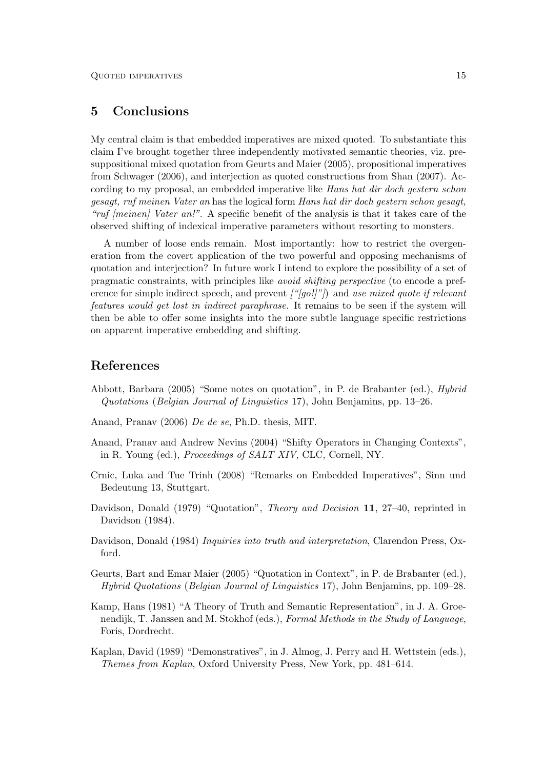## 5 Conclusions

My central claim is that embedded imperatives are mixed quoted. To substantiate this claim I've brought together three independently motivated semantic theories, viz. presuppositional mixed quotation from Geurts and Maier (2005), propositional imperatives from Schwager (2006), and interjection as quoted constructions from Shan (2007). According to my proposal, an embedded imperative like Hans hat dir doch gestern schon gesagt, ruf meinen Vater an has the logical form Hans hat dir doch gestern schon gesagt, "ruf *[meinen]* Vater an!". A specific benefit of the analysis is that it takes care of the observed shifting of indexical imperative parameters without resorting to monsters.

A number of loose ends remain. Most importantly: how to restrict the overgeneration from the covert application of the two powerful and opposing mechanisms of quotation and interjection? In future work I intend to explore the possibility of a set of pragmatic constraints, with principles like avoid shifting perspective (to encode a preference for simple indirect speech, and prevent  $\frac{f''}{g}$ . and use mixed quote if relevant features would get lost in indirect paraphrase. It remains to be seen if the system will then be able to offer some insights into the more subtle language specific restrictions on apparent imperative embedding and shifting.

### References

- Abbott, Barbara (2005) "Some notes on quotation", in P. de Brabanter (ed.), Hybrid Quotations (Belgian Journal of Linguistics 17), John Benjamins, pp. 13–26.
- Anand, Pranav (2006) De de se, Ph.D. thesis, MIT.
- Anand, Pranav and Andrew Nevins (2004) "Shifty Operators in Changing Contexts", in R. Young (ed.), Proceedings of SALT XIV, CLC, Cornell, NY.
- Crnic, Luka and Tue Trinh (2008) "Remarks on Embedded Imperatives", Sinn und Bedeutung 13, Stuttgart.
- Davidson, Donald (1979) "Quotation", *Theory and Decision* 11, 27–40, reprinted in Davidson (1984).
- Davidson, Donald (1984) *Inquiries into truth and interpretation*, Clarendon Press, Oxford.
- Geurts, Bart and Emar Maier (2005) "Quotation in Context", in P. de Brabanter (ed.), Hybrid Quotations (Belgian Journal of Linguistics 17), John Benjamins, pp. 109–28.
- Kamp, Hans (1981) "A Theory of Truth and Semantic Representation", in J. A. Groenendijk, T. Janssen and M. Stokhof (eds.), Formal Methods in the Study of Language, Foris, Dordrecht.
- Kaplan, David (1989) "Demonstratives", in J. Almog, J. Perry and H. Wettstein (eds.), Themes from Kaplan, Oxford University Press, New York, pp. 481–614.